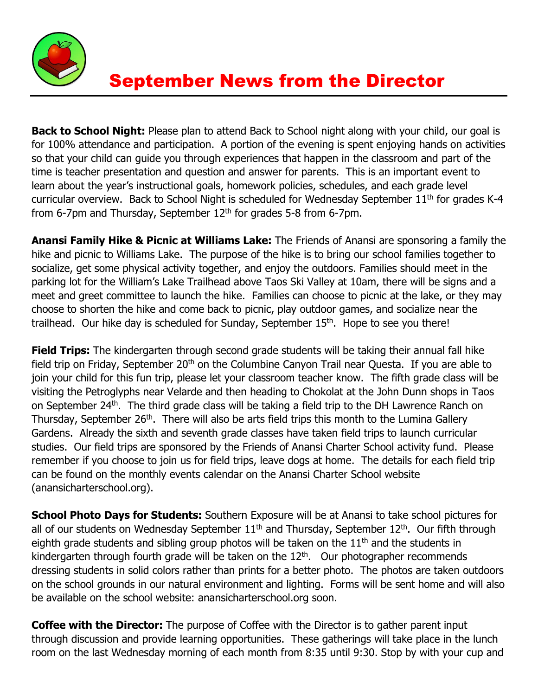

**Back to School Night:** Please plan to attend Back to School night along with your child, our goal is for 100% attendance and participation. A portion of the evening is spent enjoying hands on activities so that your child can guide you through experiences that happen in the classroom and part of the time is teacher presentation and question and answer for parents. This is an important event to learn about the year's instructional goals, homework policies, schedules, and each grade level curricular overview. Back to School Night is scheduled for Wednesday September  $11<sup>th</sup>$  for grades K-4 from 6-7pm and Thursday, September 12<sup>th</sup> for grades 5-8 from 6-7pm.

**Anansi Family Hike & Picnic at Williams Lake:** The Friends of Anansi are sponsoring a family the hike and picnic to Williams Lake. The purpose of the hike is to bring our school families together to socialize, get some physical activity together, and enjoy the outdoors. Families should meet in the parking lot for the William's Lake Trailhead above Taos Ski Valley at 10am, there will be signs and a meet and greet committee to launch the hike. Families can choose to picnic at the lake, or they may choose to shorten the hike and come back to picnic, play outdoor games, and socialize near the trailhead. Our hike day is scheduled for Sunday, September 15<sup>th</sup>. Hope to see you there!

**Field Trips:** The kindergarten through second grade students will be taking their annual fall hike field trip on Friday, September 20<sup>th</sup> on the Columbine Canyon Trail near Questa. If you are able to join your child for this fun trip, please let your classroom teacher know. The fifth grade class will be visiting the Petroglyphs near Velarde and then heading to Chokolat at the John Dunn shops in Taos on September 24<sup>th</sup>. The third grade class will be taking a field trip to the DH Lawrence Ranch on Thursday, September 26<sup>th</sup>. There will also be arts field trips this month to the Lumina Gallery Gardens. Already the sixth and seventh grade classes have taken field trips to launch curricular studies. Our field trips are sponsored by the Friends of Anansi Charter School activity fund. Please remember if you choose to join us for field trips, leave dogs at home. The details for each field trip can be found on the monthly events calendar on the Anansi Charter School website (anansicharterschool.org).

**School Photo Days for Students:** Southern Exposure will be at Anansi to take school pictures for all of our students on Wednesday September  $11<sup>th</sup>$  and Thursday, September  $12<sup>th</sup>$ . Our fifth through eighth grade students and sibling group photos will be taken on the  $11<sup>th</sup>$  and the students in kindergarten through fourth grade will be taken on the  $12<sup>th</sup>$ . Our photographer recommends dressing students in solid colors rather than prints for a better photo. The photos are taken outdoors on the school grounds in our natural environment and lighting. Forms will be sent home and will also be available on the school website: anansicharterschool.org soon.

**Coffee with the Director:** The purpose of Coffee with the Director is to gather parent input through discussion and provide learning opportunities. These gatherings will take place in the lunch room on the last Wednesday morning of each month from 8:35 until 9:30. Stop by with your cup and